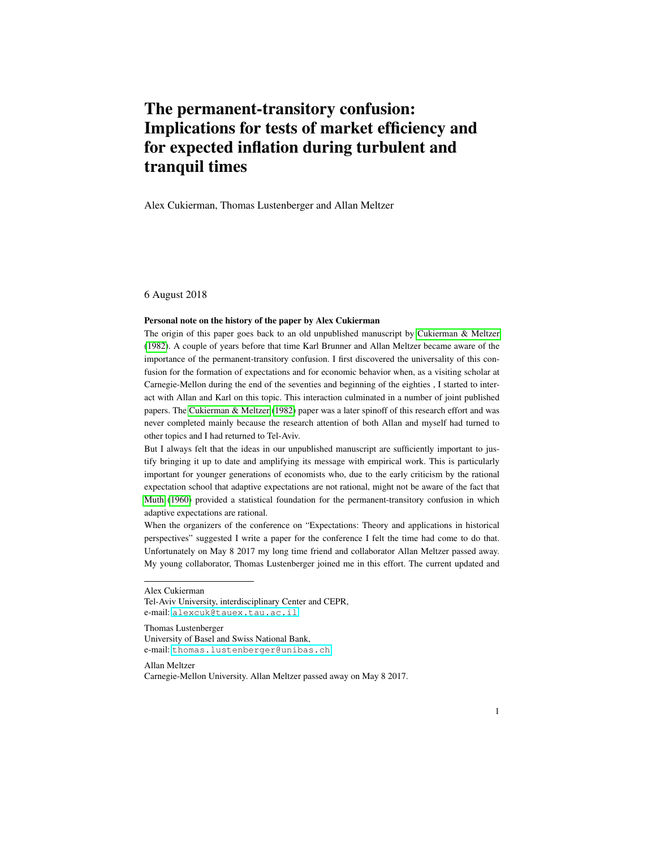# The permanent-transitory confusion: Implications for tests of market efficiency and for expected inflation during turbulent and tranquil times

Alex Cukierman, Thomas Lustenberger and Allan Meltzer

6 August 2018

#### Personal note on the history of the paper by Alex Cukierman

The origin of this paper goes back to an old unpublished manuscript by [Cukierman & Meltzer](#page-21-0) [\(1982\)](#page-21-0). A couple of years before that time Karl Brunner and Allan Meltzer became aware of the importance of the permanent-transitory confusion. I first discovered the universality of this confusion for the formation of expectations and for economic behavior when, as a visiting scholar at Carnegie-Mellon during the end of the seventies and beginning of the eighties , I started to interact with Allan and Karl on this topic. This interaction culminated in a number of joint published papers. The [Cukierman & Meltzer](#page-21-0) [\(1982\)](#page-21-0) paper was a later spinoff of this research effort and was never completed mainly because the research attention of both Allan and myself had turned to other topics and I had returned to Tel-Aviv.

But I always felt that the ideas in our unpublished manuscript are sufficiently important to justify bringing it up to date and amplifying its message with empirical work. This is particularly important for younger generations of economists who, due to the early criticism by the rational expectation school that adaptive expectations are not rational, might not be aware of the fact that [Muth](#page-21-1) [\(1960\)](#page-21-1) provided a statistical foundation for the permanent-transitory confusion in which adaptive expectations are rational.

When the organizers of the conference on "Expectations: Theory and applications in historical perspectives" suggested I write a paper for the conference I felt the time had come to do that. Unfortunately on May 8 2017 my long time friend and collaborator Allan Meltzer passed away. My young collaborator, Thomas Lustenberger joined me in this effort. The current updated and

Thomas Lustenberger University of Basel and Swiss National Bank, e-mail: <thomas.lustenberger@unibas.ch>

Allan Meltzer

Alex Cukierman

Tel-Aviv University, interdisciplinary Center and CEPR, e-mail: <alexcuk@tauex.tau.ac.il>

Carnegie-Mellon University. Allan Meltzer passed away on May 8 2017.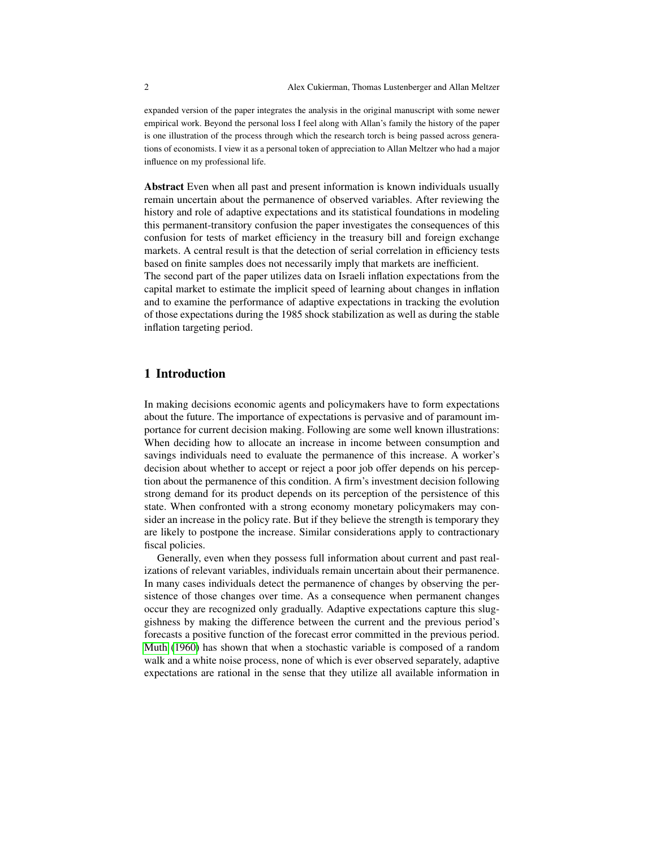expanded version of the paper integrates the analysis in the original manuscript with some newer empirical work. Beyond the personal loss I feel along with Allan's family the history of the paper is one illustration of the process through which the research torch is being passed across generations of economists. I view it as a personal token of appreciation to Allan Meltzer who had a major influence on my professional life.

Abstract Even when all past and present information is known individuals usually remain uncertain about the permanence of observed variables. After reviewing the history and role of adaptive expectations and its statistical foundations in modeling this permanent-transitory confusion the paper investigates the consequences of this confusion for tests of market efficiency in the treasury bill and foreign exchange markets. A central result is that the detection of serial correlation in efficiency tests based on finite samples does not necessarily imply that markets are inefficient.

The second part of the paper utilizes data on Israeli inflation expectations from the capital market to estimate the implicit speed of learning about changes in inflation and to examine the performance of adaptive expectations in tracking the evolution of those expectations during the 1985 shock stabilization as well as during the stable inflation targeting period.

#### 1 Introduction

In making decisions economic agents and policymakers have to form expectations about the future. The importance of expectations is pervasive and of paramount importance for current decision making. Following are some well known illustrations: When deciding how to allocate an increase in income between consumption and savings individuals need to evaluate the permanence of this increase. A worker's decision about whether to accept or reject a poor job offer depends on his perception about the permanence of this condition. A firm's investment decision following strong demand for its product depends on its perception of the persistence of this state. When confronted with a strong economy monetary policymakers may consider an increase in the policy rate. But if they believe the strength is temporary they are likely to postpone the increase. Similar considerations apply to contractionary fiscal policies.

Generally, even when they possess full information about current and past realizations of relevant variables, individuals remain uncertain about their permanence. In many cases individuals detect the permanence of changes by observing the persistence of those changes over time. As a consequence when permanent changes occur they are recognized only gradually. Adaptive expectations capture this sluggishness by making the difference between the current and the previous period's forecasts a positive function of the forecast error committed in the previous period. [Muth](#page-21-1) [\(1960\)](#page-21-1) has shown that when a stochastic variable is composed of a random walk and a white noise process, none of which is ever observed separately, adaptive expectations are rational in the sense that they utilize all available information in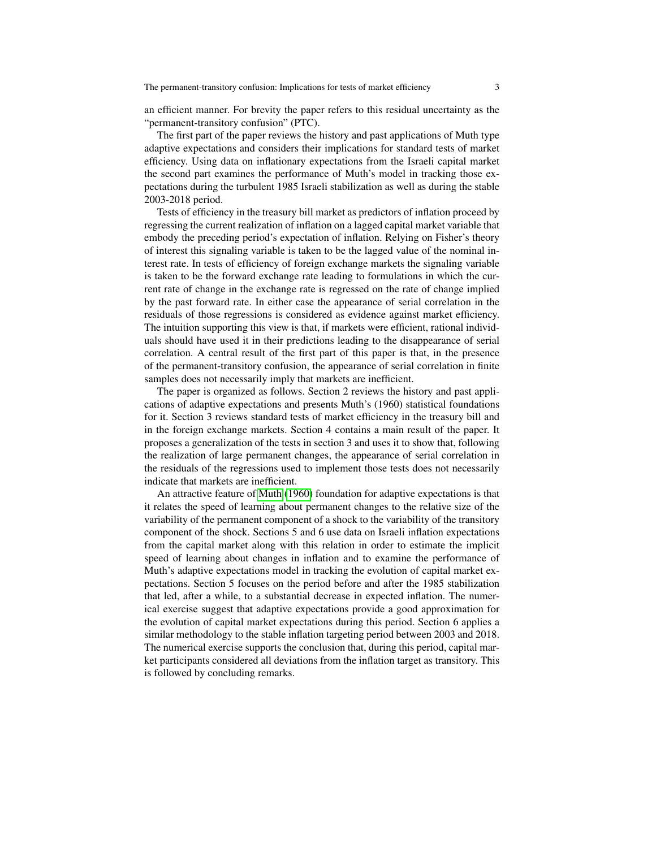an efficient manner. For brevity the paper refers to this residual uncertainty as the "permanent-transitory confusion" (PTC).

The first part of the paper reviews the history and past applications of Muth type adaptive expectations and considers their implications for standard tests of market efficiency. Using data on inflationary expectations from the Israeli capital market the second part examines the performance of Muth's model in tracking those expectations during the turbulent 1985 Israeli stabilization as well as during the stable 2003-2018 period.

Tests of efficiency in the treasury bill market as predictors of inflation proceed by regressing the current realization of inflation on a lagged capital market variable that embody the preceding period's expectation of inflation. Relying on Fisher's theory of interest this signaling variable is taken to be the lagged value of the nominal interest rate. In tests of efficiency of foreign exchange markets the signaling variable is taken to be the forward exchange rate leading to formulations in which the current rate of change in the exchange rate is regressed on the rate of change implied by the past forward rate. In either case the appearance of serial correlation in the residuals of those regressions is considered as evidence against market efficiency. The intuition supporting this view is that, if markets were efficient, rational individuals should have used it in their predictions leading to the disappearance of serial correlation. A central result of the first part of this paper is that, in the presence of the permanent-transitory confusion, the appearance of serial correlation in finite samples does not necessarily imply that markets are inefficient.

The paper is organized as follows. Section 2 reviews the history and past applications of adaptive expectations and presents Muth's (1960) statistical foundations for it. Section 3 reviews standard tests of market efficiency in the treasury bill and in the foreign exchange markets. Section 4 contains a main result of the paper. It proposes a generalization of the tests in section 3 and uses it to show that, following the realization of large permanent changes, the appearance of serial correlation in the residuals of the regressions used to implement those tests does not necessarily indicate that markets are inefficient.

An attractive feature of [Muth](#page-21-1) [\(1960\)](#page-21-1) foundation for adaptive expectations is that it relates the speed of learning about permanent changes to the relative size of the variability of the permanent component of a shock to the variability of the transitory component of the shock. Sections 5 and 6 use data on Israeli inflation expectations from the capital market along with this relation in order to estimate the implicit speed of learning about changes in inflation and to examine the performance of Muth's adaptive expectations model in tracking the evolution of capital market expectations. Section 5 focuses on the period before and after the 1985 stabilization that led, after a while, to a substantial decrease in expected inflation. The numerical exercise suggest that adaptive expectations provide a good approximation for the evolution of capital market expectations during this period. Section 6 applies a similar methodology to the stable inflation targeting period between 2003 and 2018. The numerical exercise supports the conclusion that, during this period, capital market participants considered all deviations from the inflation target as transitory. This is followed by concluding remarks.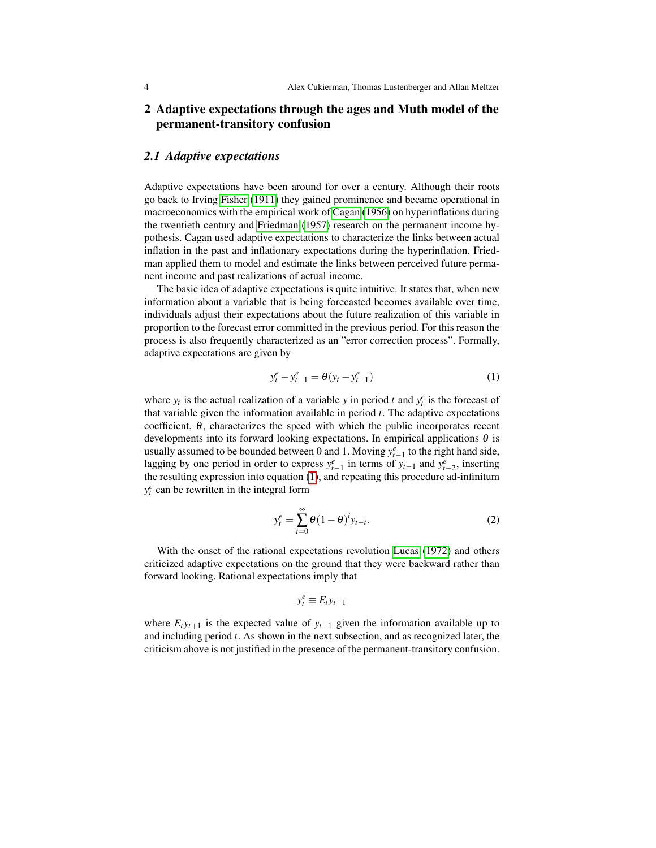### 2 Adaptive expectations through the ages and Muth model of the permanent-transitory confusion

#### *2.1 Adaptive expectations*

Adaptive expectations have been around for over a century. Although their roots go back to Irving [Fisher](#page-21-2) [\(1911\)](#page-21-2) they gained prominence and became operational in macroeconomics with the empirical work of [Cagan](#page-20-0) [\(1956\)](#page-20-0) on hyperinflations during the twentieth century and [Friedman](#page-21-3) [\(1957\)](#page-21-3) research on the permanent income hypothesis. Cagan used adaptive expectations to characterize the links between actual inflation in the past and inflationary expectations during the hyperinflation. Friedman applied them to model and estimate the links between perceived future permanent income and past realizations of actual income.

The basic idea of adaptive expectations is quite intuitive. It states that, when new information about a variable that is being forecasted becomes available over time, individuals adjust their expectations about the future realization of this variable in proportion to the forecast error committed in the previous period. For this reason the process is also frequently characterized as an "error correction process". Formally, adaptive expectations are given by

<span id="page-3-0"></span>
$$
y_t^e - y_{t-1}^e = \theta (y_t - y_{t-1}^e)
$$
 (1)

where  $y_t$  is the actual realization of a variable *y* in period *t* and  $y_t^e$  is the forecast of that variable given the information available in period *t*. The adaptive expectations coefficient,  $\theta$ , characterizes the speed with which the public incorporates recent developments into its forward looking expectations. In empirical applications  $\theta$  is usually assumed to be bounded between 0 and 1. Moving  $y_{t-1}^e$  to the right hand side, lagging by one period in order to express  $y_{t-1}^e$  in terms of  $y_{t-1}$  and  $y_{t-2}^e$ , inserting the resulting expression into equation [\(1\)](#page-3-0), and repeating this procedure ad-infinitum  $y_t^e$  can be rewritten in the integral form

<span id="page-3-1"></span>
$$
y_t^e = \sum_{i=0}^{\infty} \theta (1 - \theta)^i y_{t-i}.
$$
 (2)

With the onset of the rational expectations revolution [Lucas](#page-21-4) [\(1972\)](#page-21-4) and others criticized adaptive expectations on the ground that they were backward rather than forward looking. Rational expectations imply that

$$
y_t^e \equiv E_t y_{t+1}
$$

where  $E_t y_{t+1}$  is the expected value of  $y_{t+1}$  given the information available up to and including period *t*. As shown in the next subsection, and as recognized later, the criticism above is not justified in the presence of the permanent-transitory confusion.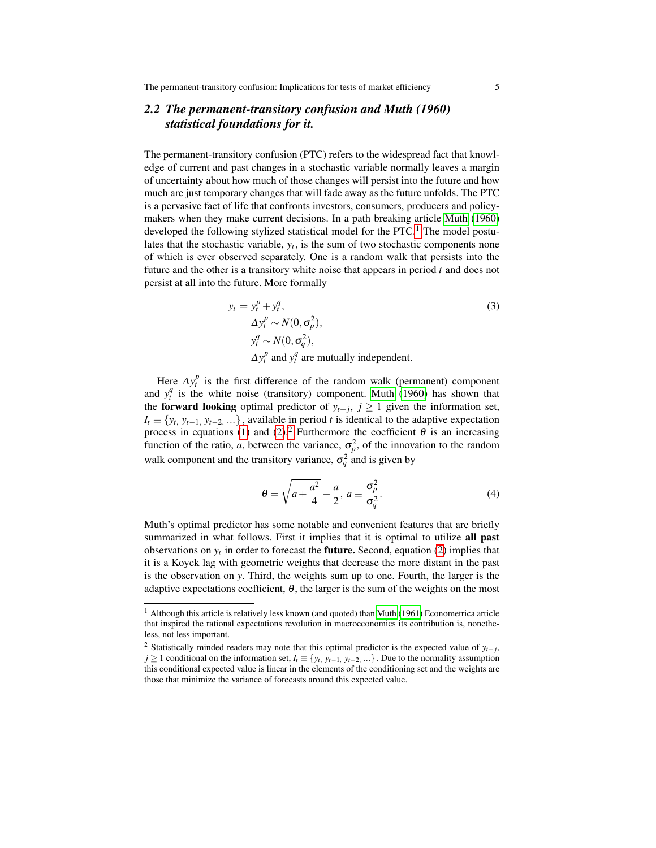### *2.2 The permanent-transitory confusion and Muth (1960) statistical foundations for it.*

The permanent-transitory confusion (PTC) refers to the widespread fact that knowledge of current and past changes in a stochastic variable normally leaves a margin of uncertainty about how much of those changes will persist into the future and how much are just temporary changes that will fade away as the future unfolds. The PTC is a pervasive fact of life that confronts investors, consumers, producers and policymakers when they make current decisions. In a path breaking article [Muth](#page-21-1) [\(1960\)](#page-21-1) developed the following stylized statistical model for the PTC.<sup>[1](#page-4-0)</sup> The model postulates that the stochastic variable,  $y_t$ , is the sum of two stochastic components none of which is ever observed separately. One is a random walk that persists into the future and the other is a transitory white noise that appears in period *t* and does not persist at all into the future. More formally

<span id="page-4-2"></span>
$$
y_t = y_t^p + y_t^q,
$$
  
\n
$$
\Delta y_t^p \sim N(0, \sigma_p^2),
$$
  
\n
$$
y_t^q \sim N(0, \sigma_q^2),
$$
  
\n
$$
\Delta y_t^p \text{ and } y_t^q \text{ are mutually independent.}
$$
\n(3)

Here  $\Delta y_t^p$  is the first difference of the random walk (permanent) component and  $y_t^q$  is the white noise (transitory) component. [Muth](#page-21-1) [\(1960\)](#page-21-1) has shown that the **forward looking** optimal predictor of  $y_{t+j}$ ,  $j \ge 1$  given the information set,  $I_t \equiv \{y_t, y_{t-1}, y_{t-2}, \ldots\}$ , available in period *t* is identical to the adaptive expectation process in equations [\(1\)](#page-3-0) and [\(2\)](#page-3-1).<sup>[2](#page-4-1)</sup> Furthermore the coefficient  $\theta$  is an increasing function of the ratio, *a*, between the variance,  $\sigma_p^2$ , of the innovation to the random walk component and the transitory variance,  $\sigma_q^2$  and is given by

<span id="page-4-3"></span>
$$
\theta = \sqrt{a + \frac{a^2}{4}} - \frac{a}{2}, \ a \equiv \frac{\sigma_p^2}{\sigma_q^2}.
$$
 (4)

Muth's optimal predictor has some notable and convenient features that are briefly summarized in what follows. First it implies that it is optimal to utilize all past observations on  $y_t$  in order to forecast the **future.** Second, equation [\(2\)](#page-3-1) implies that it is a Koyck lag with geometric weights that decrease the more distant in the past is the observation on *y*. Third, the weights sum up to one. Fourth, the larger is the adaptive expectations coefficient,  $\theta$ , the larger is the sum of the weights on the most

<span id="page-4-0"></span><sup>&</sup>lt;sup>1</sup> Although this article is relatively less known (and quoted) than [Muth](#page-21-5) [\(1961\)](#page-21-5) Econometrica article that inspired the rational expectations revolution in macroeconomics its contribution is, nonetheless, not less important.

<span id="page-4-1"></span><sup>&</sup>lt;sup>2</sup> Statistically minded readers may note that this optimal predictor is the expected value of  $y_{t+j}$ , *j* ≥ 1 conditional on the information set,  $I_t$  ≡ { $y_t$ ,  $y_{t-1}$ ,  $y_{t-2}$ , ...}. Due to the normality assumption this conditional expected value is linear in the elements of the conditioning set and the weights are those that minimize the variance of forecasts around this expected value.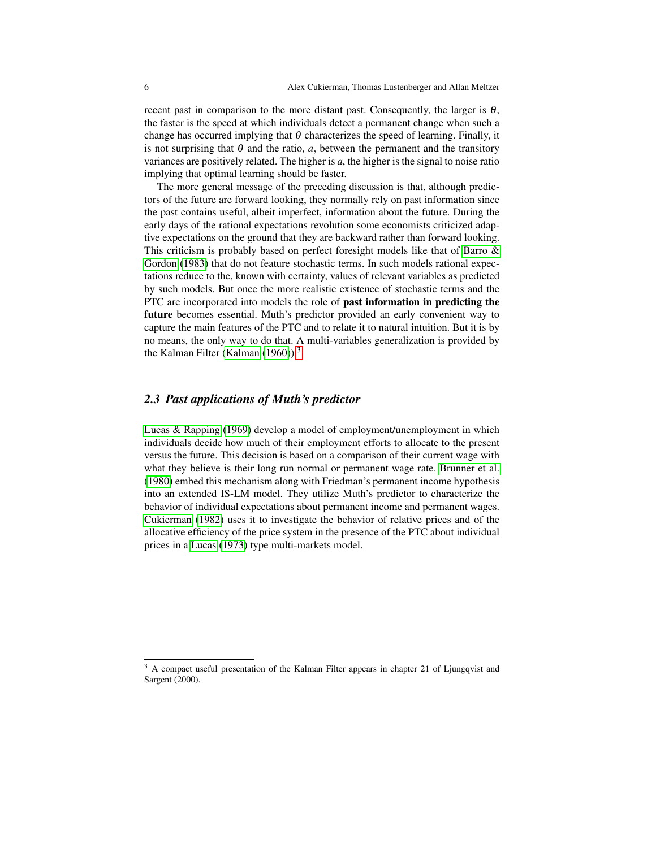recent past in comparison to the more distant past. Consequently, the larger is  $\theta$ , the faster is the speed at which individuals detect a permanent change when such a change has occurred implying that  $\theta$  characterizes the speed of learning. Finally, it is not surprising that  $\theta$  and the ratio, *a*, between the permanent and the transitory variances are positively related. The higher is *a*, the higher is the signal to noise ratio implying that optimal learning should be faster.

The more general message of the preceding discussion is that, although predictors of the future are forward looking, they normally rely on past information since the past contains useful, albeit imperfect, information about the future. During the early days of the rational expectations revolution some economists criticized adaptive expectations on the ground that they are backward rather than forward looking. This criticism is probably based on perfect foresight models like that of [Barro &](#page-20-1) [Gordon](#page-20-1) [\(1983\)](#page-20-1) that do not feature stochastic terms. In such models rational expectations reduce to the, known with certainty, values of relevant variables as predicted by such models. But once the more realistic existence of stochastic terms and the PTC are incorporated into models the role of past information in predicting the future becomes essential. Muth's predictor provided an early convenient way to capture the main features of the PTC and to relate it to natural intuition. But it is by no means, the only way to do that. A multi-variables generalization is provided by the Kalman Filter [\(Kalman](#page-21-6)  $(1960)$ ).<sup>[3](#page-5-0)</sup>

#### *2.3 Past applications of Muth's predictor*

[Lucas & Rapping](#page-21-7) [\(1969\)](#page-21-7) develop a model of employment/unemployment in which individuals decide how much of their employment efforts to allocate to the present versus the future. This decision is based on a comparison of their current wage with what they believe is their long run normal or permanent wage rate. [Brunner et al.](#page-20-2) [\(1980\)](#page-20-2) embed this mechanism along with Friedman's permanent income hypothesis into an extended IS-LM model. They utilize Muth's predictor to characterize the behavior of individual expectations about permanent income and permanent wages. [Cukierman](#page-20-3) [\(1982\)](#page-20-3) uses it to investigate the behavior of relative prices and of the allocative efficiency of the price system in the presence of the PTC about individual prices in a [Lucas](#page-21-8) [\(1973\)](#page-21-8) type multi-markets model.

<span id="page-5-0"></span><sup>&</sup>lt;sup>3</sup> A compact useful presentation of the Kalman Filter appears in chapter 21 of Ljungqvist and Sargent (2000).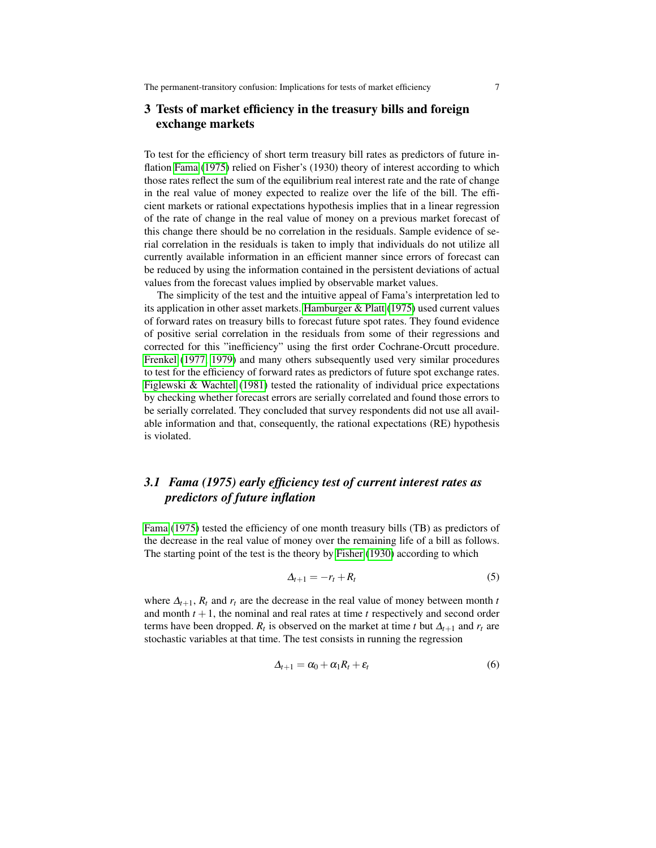### 3 Tests of market efficiency in the treasury bills and foreign exchange markets

To test for the efficiency of short term treasury bill rates as predictors of future inflation [Fama](#page-21-9) [\(1975\)](#page-21-9) relied on Fisher's (1930) theory of interest according to which those rates reflect the sum of the equilibrium real interest rate and the rate of change in the real value of money expected to realize over the life of the bill. The efficient markets or rational expectations hypothesis implies that in a linear regression of the rate of change in the real value of money on a previous market forecast of this change there should be no correlation in the residuals. Sample evidence of serial correlation in the residuals is taken to imply that individuals do not utilize all currently available information in an efficient manner since errors of forecast can be reduced by using the information contained in the persistent deviations of actual values from the forecast values implied by observable market values.

The simplicity of the test and the intuitive appeal of Fama's interpretation led to its application in other asset markets. [Hamburger & Platt](#page-21-10) [\(1975\)](#page-21-10) used current values of forward rates on treasury bills to forecast future spot rates. They found evidence of positive serial correlation in the residuals from some of their regressions and corrected for this "inefficiency" using the first order Cochrane-Orcutt procedure. [Frenkel](#page-21-11) [\(1977,](#page-21-11) [1979\)](#page-21-12) and many others subsequently used very similar procedures to test for the efficiency of forward rates as predictors of future spot exchange rates. [Figlewski & Wachtel](#page-21-13) [\(1981\)](#page-21-13) tested the rationality of individual price expectations by checking whether forecast errors are serially correlated and found those errors to be serially correlated. They concluded that survey respondents did not use all available information and that, consequently, the rational expectations (RE) hypothesis is violated.

# *3.1 Fama (1975) early efficiency test of current interest rates as predictors of future inflation*

[Fama](#page-21-9) [\(1975\)](#page-21-9) tested the efficiency of one month treasury bills (TB) as predictors of the decrease in the real value of money over the remaining life of a bill as follows. The starting point of the test is the theory by [Fisher](#page-21-14) [\(1930\)](#page-21-14) according to which

<span id="page-6-0"></span>
$$
\Delta_{t+1} = -r_t + R_t \tag{5}
$$

<span id="page-6-1"></span>where  $\Delta_{t+1}$ ,  $R_t$  and  $r_t$  are the decrease in the real value of money between month *t* and month  $t + 1$ , the nominal and real rates at time  $t$  respectively and second order terms have been dropped.  $R_t$  is observed on the market at time *t* but  $\Delta_{t+1}$  and  $r_t$  are stochastic variables at that time. The test consists in running the regression

$$
\Delta_{t+1} = \alpha_0 + \alpha_1 R_t + \varepsilon_t \tag{6}
$$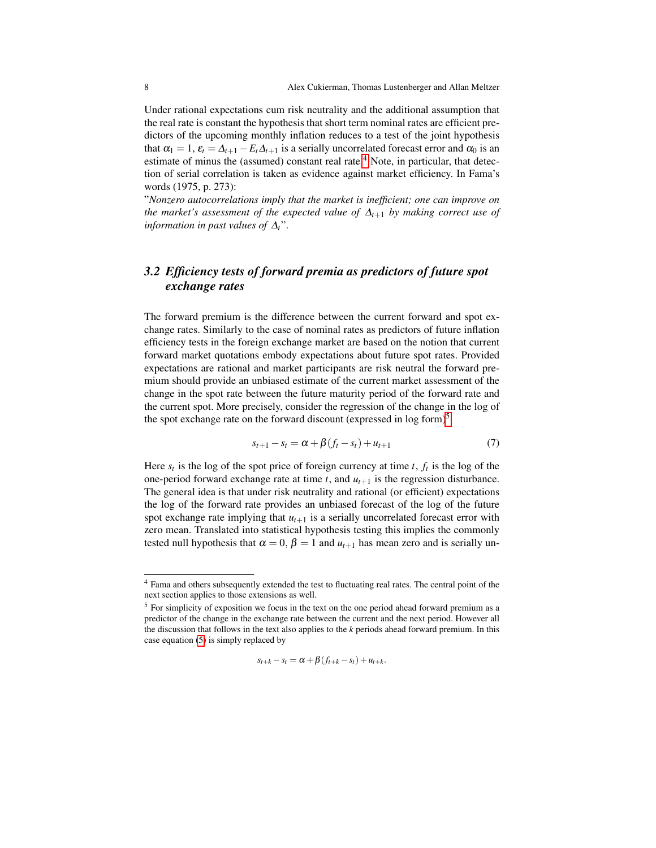Under rational expectations cum risk neutrality and the additional assumption that the real rate is constant the hypothesis that short term nominal rates are efficient predictors of the upcoming monthly inflation reduces to a test of the joint hypothesis that  $\alpha_1 = 1$ ,  $\varepsilon_t = \Delta_{t+1} - E_t \Delta_{t+1}$  is a serially uncorrelated forecast error and  $\alpha_0$  is an estimate of minus the (assumed) constant real rate.<sup>[4](#page-7-0)</sup> Note, in particular, that detection of serial correlation is taken as evidence against market efficiency. In Fama's words (1975, p. 273):

"*Nonzero autocorrelations imply that the market is inefficient; one can improve on the market's assessment of the expected value of* ∆*t*+<sup>1</sup> *by making correct use of information in past values of* ∆*t*".

### *3.2 Efficiency tests of forward premia as predictors of future spot exchange rates*

The forward premium is the difference between the current forward and spot exchange rates. Similarly to the case of nominal rates as predictors of future inflation efficiency tests in the foreign exchange market are based on the notion that current forward market quotations embody expectations about future spot rates. Provided expectations are rational and market participants are risk neutral the forward premium should provide an unbiased estimate of the current market assessment of the change in the spot rate between the future maturity period of the forward rate and the current spot. More precisely, consider the regression of the change in the log of the spot exchange rate on the forward discount (expressed in  $\log$  form)<sup>[5](#page-7-1)</sup>

<span id="page-7-2"></span>
$$
s_{t+1} - s_t = \alpha + \beta(f_t - s_t) + u_{t+1} \tag{7}
$$

Here  $s_t$  is the log of the spot price of foreign currency at time *t*,  $f_t$  is the log of the one-period forward exchange rate at time  $t$ , and  $u_{t+1}$  is the regression disturbance. The general idea is that under risk neutrality and rational (or efficient) expectations the log of the forward rate provides an unbiased forecast of the log of the future spot exchange rate implying that  $u_{t+1}$  is a serially uncorrelated forecast error with zero mean. Translated into statistical hypothesis testing this implies the commonly tested null hypothesis that  $\alpha = 0$ ,  $\beta = 1$  and  $u_{t+1}$  has mean zero and is serially un-

$$
s_{t+k} - s_t = \alpha + \beta (f_{t+k} - s_t) + u_{t+k}.
$$

<span id="page-7-0"></span><sup>4</sup> Fama and others subsequently extended the test to fluctuating real rates. The central point of the next section applies to those extensions as well.

<span id="page-7-1"></span><sup>&</sup>lt;sup>5</sup> For simplicity of exposition we focus in the text on the one period ahead forward premium as a predictor of the change in the exchange rate between the current and the next period. However all the discussion that follows in the text also applies to the *k* periods ahead forward premium. In this case equation [\(5\)](#page-6-0) is simply replaced by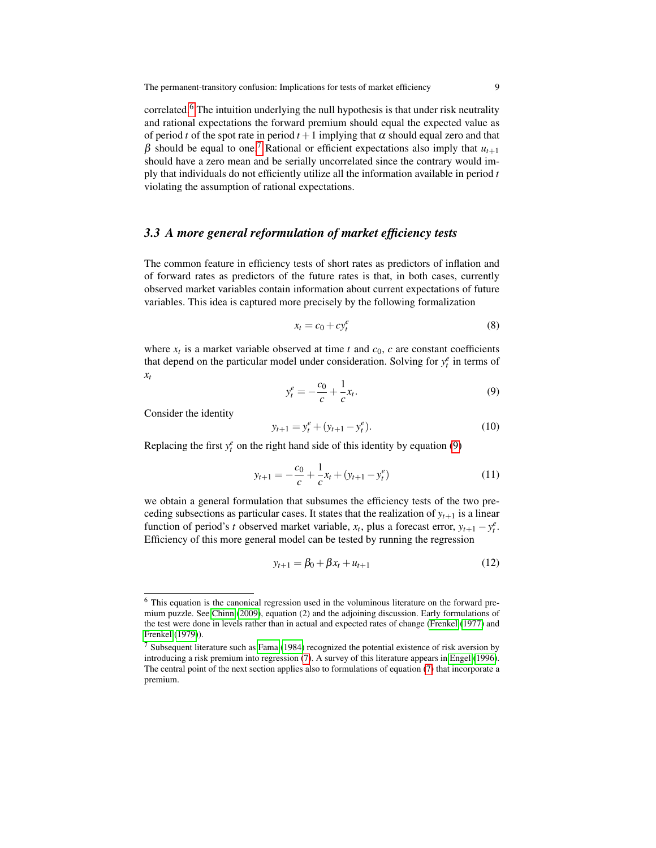correlated.[6](#page-8-0) The intuition underlying the null hypothesis is that under risk neutrality and rational expectations the forward premium should equal the expected value as of period *t* of the spot rate in period  $t + 1$  implying that  $\alpha$  should equal zero and that β should be equal to one.<sup>[7](#page-8-1)</sup> Rational or efficient expectations also imply that  $u_{t+1}$ should have a zero mean and be serially uncorrelated since the contrary would imply that individuals do not efficiently utilize all the information available in period *t* violating the assumption of rational expectations.

#### *3.3 A more general reformulation of market efficiency tests*

The common feature in efficiency tests of short rates as predictors of inflation and of forward rates as predictors of the future rates is that, in both cases, currently observed market variables contain information about current expectations of future variables. This idea is captured more precisely by the following formalization

$$
x_t = c_0 + cy_t^e \tag{8}
$$

<span id="page-8-2"></span>where  $x_t$  is a market variable observed at time  $t$  and  $c_0$ ,  $c$  are constant coefficients that depend on the particular model under consideration. Solving for  $y_t^e$  in terms of *xt*

<span id="page-8-3"></span>
$$
y_t^e = -\frac{c_0}{c} + \frac{1}{c}x_t.
$$
 (9)

Consider the identity

$$
y_{t+1} = y_t^e + (y_{t+1} - y_t^e). \tag{10}
$$

Replacing the first  $y_t^e$  on the right hand side of this identity by equation [\(9\)](#page-8-2)

$$
y_{t+1} = -\frac{c_0}{c} + \frac{1}{c}x_t + (y_{t+1} - y_t^e)
$$
 (11)

we obtain a general formulation that subsumes the efficiency tests of the two preceding subsections as particular cases. It states that the realization of  $y_{t+1}$  is a linear function of period's *t* observed market variable,  $x_t$ , plus a forecast error,  $y_{t+1} - y_t^e$ . Efficiency of this more general model can be tested by running the regression

$$
y_{t+1} = \beta_0 + \beta x_t + u_{t+1}
$$
 (12)

<span id="page-8-0"></span><sup>6</sup> This equation is the canonical regression used in the voluminous literature on the forward premium puzzle. See [Chinn](#page-20-4) [\(2009\)](#page-20-4), equation (2) and the adjoining discussion. Early formulations of the test were done in levels rather than in actual and expected rates of change [\(Frenkel](#page-21-11) [\(1977\)](#page-21-11) and [Frenkel](#page-21-12) [\(1979\)](#page-21-12)).

<span id="page-8-1"></span><sup>7</sup> Subsequent literature such as [Fama](#page-21-15) [\(1984\)](#page-21-15) recognized the potential existence of risk aversion by introducing a risk premium into regression [\(7\)](#page-7-2). A survey of this literature appears in [Engel](#page-21-16) [\(1996\)](#page-21-16). The central point of the next section applies also to formulations of equation [\(7\)](#page-7-2) that incorporate a premium.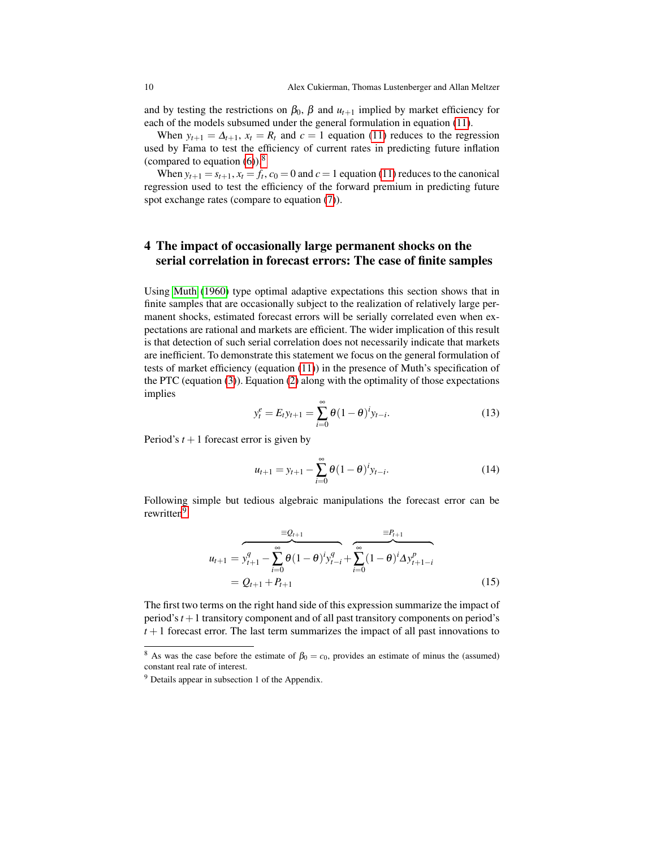and by testing the restrictions on  $\beta_0$ ,  $\beta$  and  $u_{t+1}$  implied by market efficiency for each of the models subsumed under the general formulation in equation [\(11\)](#page-8-3).

When  $y_{t+1} = \Delta_{t+1}$ ,  $x_t = R_t$  and  $c = 1$  equation [\(11\)](#page-8-3) reduces to the regression used by Fama to test the efficiency of current rates in predicting future inflation (compared to equation  $(6)$ ).<sup>[8](#page-9-0)</sup>

When  $y_{t+1} = s_{t+1}$ ,  $x_t = f_t$ ,  $c_0 = 0$  and  $c = 1$  equation [\(11\)](#page-8-3) reduces to the canonical regression used to test the efficiency of the forward premium in predicting future spot exchange rates (compare to equation [\(7\)](#page-7-2)).

### 4 The impact of occasionally large permanent shocks on the serial correlation in forecast errors: The case of finite samples

Using [Muth](#page-21-1) [\(1960\)](#page-21-1) type optimal adaptive expectations this section shows that in finite samples that are occasionally subject to the realization of relatively large permanent shocks, estimated forecast errors will be serially correlated even when expectations are rational and markets are efficient. The wider implication of this result is that detection of such serial correlation does not necessarily indicate that markets are inefficient. To demonstrate this statement we focus on the general formulation of tests of market efficiency (equation [\(11\)](#page-8-3)) in the presence of Muth's specification of the PTC (equation [\(3\)](#page-4-2)). Equation [\(2\)](#page-3-1) along with the optimality of those expectations implies

$$
y_t^e = E_t y_{t+1} = \sum_{i=0}^{\infty} \theta (1 - \theta)^i y_{t-i}.
$$
 (13)

<span id="page-9-3"></span>Period's  $t + 1$  forecast error is given by

<span id="page-9-4"></span>
$$
u_{t+1} = y_{t+1} - \sum_{i=0}^{\infty} \theta (1 - \theta)^i y_{t-i}.
$$
 (14)

Following simple but tedious algebraic manipulations the forecast error can be rewritten<sup>[9](#page-9-1)</sup>

<span id="page-9-2"></span>
$$
u_{t+1} = \underbrace{y_{t+1}^q - \sum_{i=0}^{\infty} \theta (1-\theta)^i y_{t-i}^q}_{=Q_{t+1} + P_{t+1}} + \underbrace{\sum_{i=0}^{\infty} (1-\theta)^i \Delta y_{t+1-i}^p}_{=0}
$$
\n
$$
= Q_{t+1} + P_{t+1}
$$
\n(15)

The first two terms on the right hand side of this expression summarize the impact of period's*t* +1 transitory component and of all past transitory components on period's  $t+1$  forecast error. The last term summarizes the impact of all past innovations to

<span id="page-9-0"></span><sup>&</sup>lt;sup>8</sup> As was the case before the estimate of  $\beta_0 = c_0$ , provides an estimate of minus the (assumed) constant real rate of interest.

<span id="page-9-1"></span><sup>9</sup> Details appear in subsection 1 of the Appendix.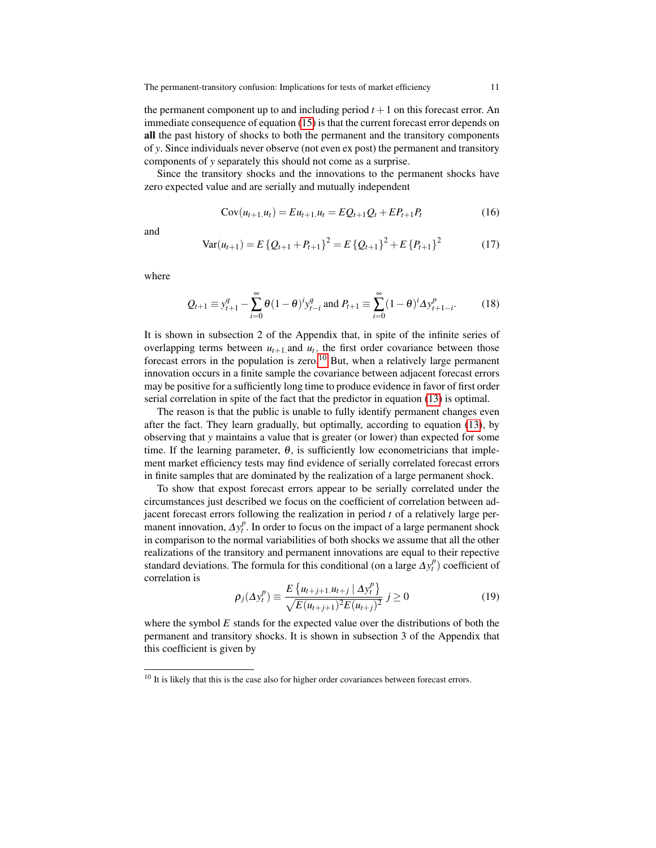the permanent component up to and including period  $t + 1$  on this forecast error. An immediate consequence of equation [\(15\)](#page-9-2) is that the current forecast error depends on all the past history of shocks to both the permanent and the transitory components of *y*. Since individuals never observe (not even ex post) the permanent and transitory components of *y* separately this should not come as a surprise.

Since the transitory shocks and the innovations to the permanent shocks have zero expected value and are serially and mutually independent

$$
Cov(u_{t+1}.u_t) = Eu_{t+1}.u_t = EQ_{t+1}Q_t + EP_{t+1}P_t
$$
\n(16)

<span id="page-10-3"></span>and

$$
Var(u_{t+1}) = E\left\{Q_{t+1} + P_{t+1}\right\}^2 = E\left\{Q_{t+1}\right\}^2 + E\left\{P_{t+1}\right\}^2\tag{17}
$$

where

<span id="page-10-1"></span>
$$
Q_{t+1} \equiv y_{t+1}^q - \sum_{i=0}^{\infty} \theta (1 - \theta)^i y_{t-i}^q \text{ and } P_{t+1} \equiv \sum_{i=0}^{\infty} (1 - \theta)^i \Delta y_{t+1-i}^p. \tag{18}
$$

It is shown in subsection 2 of the Appendix that, in spite of the infinite series of overlapping terms between  $u_{t+1}$  and  $u_t$ , the first order covariance between those forecast errors in the population is zero.<sup>[10](#page-10-0)</sup> But, when a relatively large permanent innovation occurs in a finite sample the covariance between adjacent forecast errors may be positive for a sufficiently long time to produce evidence in favor of first order serial correlation in spite of the fact that the predictor in equation [\(13\)](#page-9-3) is optimal.

The reason is that the public is unable to fully identify permanent changes even after the fact. They learn gradually, but optimally, according to equation [\(13\)](#page-9-3), by observing that *y* maintains a value that is greater (or lower) than expected for some time. If the learning parameter,  $\theta$ , is sufficiently low econometricians that implement market efficiency tests may find evidence of serially correlated forecast errors in finite samples that are dominated by the realization of a large permanent shock.

To show that expost forecast errors appear to be serially correlated under the circumstances just described we focus on the coefficient of correlation between adjacent forecast errors following the realization in period *t* of a relatively large permanent innovation,  $\Delta y_t^p$ . In order to focus on the impact of a large permanent shock in comparison to the normal variabilities of both shocks we assume that all the other realizations of the transitory and permanent innovations are equal to their repective standard deviations. The formula for this conditional (on a large  $\Delta y_t^p$ ) coefficient of correlation is

<span id="page-10-2"></span>
$$
\rho_j(\Delta y_t^p) \equiv \frac{E\left\{u_{t+j+1}u_{t+j} \mid \Delta y_t^p\right\}}{\sqrt{E(u_{t+j+1})^2 E(u_{t+j})^2}} \ j \ge 0 \tag{19}
$$

where the symbol  $E$  stands for the expected value over the distributions of both the permanent and transitory shocks. It is shown in subsection 3 of the Appendix that this coefficient is given by

<span id="page-10-0"></span> $10$  It is likely that this is the case also for higher order covariances between forecast errors.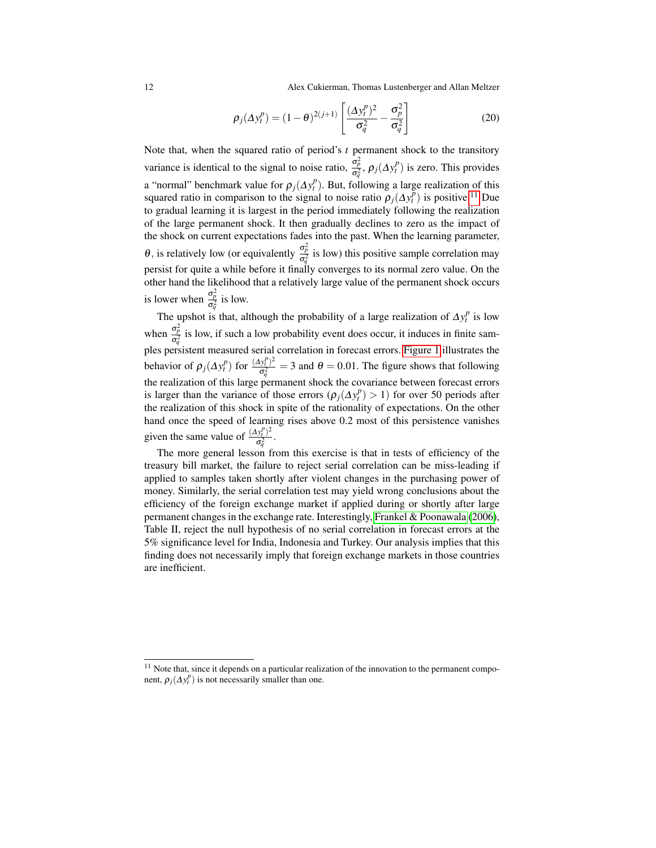12 Alex Cukierman, Thomas Lustenberger and Allan Meltzer

$$
\rho_j(\Delta y_t^p) = (1 - \theta)^{2(j+1)} \left[ \frac{(\Delta y_t^p)^2}{\sigma_q^2} - \frac{\sigma_p^2}{\sigma_q^2} \right]
$$
 (20)

Note that, when the squared ratio of period's *t* permanent shock to the transitory variance is identical to the signal to noise ratio,  $\frac{\sigma_p^2}{\sigma_q^2}$ ,  $\rho_j(\Delta y_t^p)$  is zero. This provides a "normal" benchmark value for  $\rho_j(\Delta y_t^p)$ . But, following a large realization of this squared ratio in comparison to the signal to noise ratio  $\rho_j(\Delta y_t^p)$  is positive.<sup>[11](#page-11-0)</sup> Due to gradual learning it is largest in the period immediately following the realization of the large permanent shock. It then gradually declines to zero as the impact of the shock on current expectations fades into the past. When the learning parameter, θ, is relatively low (or equivalently  $\frac{\sigma_p^2}{\sigma_q^2}$  is low) this positive sample correlation may persist for quite a while before it finally converges to its normal zero value. On the other hand the likelihood that a relatively large value of the permanent shock occurs is lower when  $\frac{\sigma_p^2}{\sigma_q^2}$  is low.

The upshot is that, although the probability of a large realization of  $\Delta y_i^p$  is low when  $\frac{\sigma_p^2}{\sigma^2}$  is low, if such a low probability event does occur, it induces in finite samwhen  $\frac{\sigma_q^2}{\sigma_q^2}$  is low, it such a low probability event does occur, it induces in linke samples persistent measured serial correlation in forecast errors. [Figure 1](#page-12-0) illustrates the behavior of  $\rho_j(\Delta y_t^p)$  for  $\frac{(\Delta y_t^p)^2}{\sigma^2}$  $\frac{(y_i^2)^2}{\sigma_q^2} = 3$  and  $\theta = 0.01$ . The figure shows that following the realization of this large permanent shock the covariance between forecast errors is larger than the variance of those errors  $(\rho_j(\Delta y_t^p)) > 1$  for over 50 periods after the realization of this shock in spite of the rationality of expectations. On the other hand once the speed of learning rises above 0.2 most of this persistence vanishes given the same value of  $\frac{(\Delta y_t^p)^2}{\sigma^2}$  $\frac{(y_t^i)}{\sigma_q^2}$ .

The more general lesson from this exercise is that in tests of efficiency of the treasury bill market, the failure to reject serial correlation can be miss-leading if applied to samples taken shortly after violent changes in the purchasing power of money. Similarly, the serial correlation test may yield wrong conclusions about the efficiency of the foreign exchange market if applied during or shortly after large permanent changes in the exchange rate. Interestingly, [Frankel & Poonawala](#page-21-17) [\(2006\)](#page-21-17), Table II, reject the null hypothesis of no serial correlation in forecast errors at the 5% significance level for India, Indonesia and Turkey. Our analysis implies that this finding does not necessarily imply that foreign exchange markets in those countries are inefficient.

<span id="page-11-0"></span><sup>&</sup>lt;sup>11</sup> Note that, since it depends on a particular realization of the innovation to the permanent component,  $\rho_j(\Delta y_t^p)$  is not necessarily smaller than one.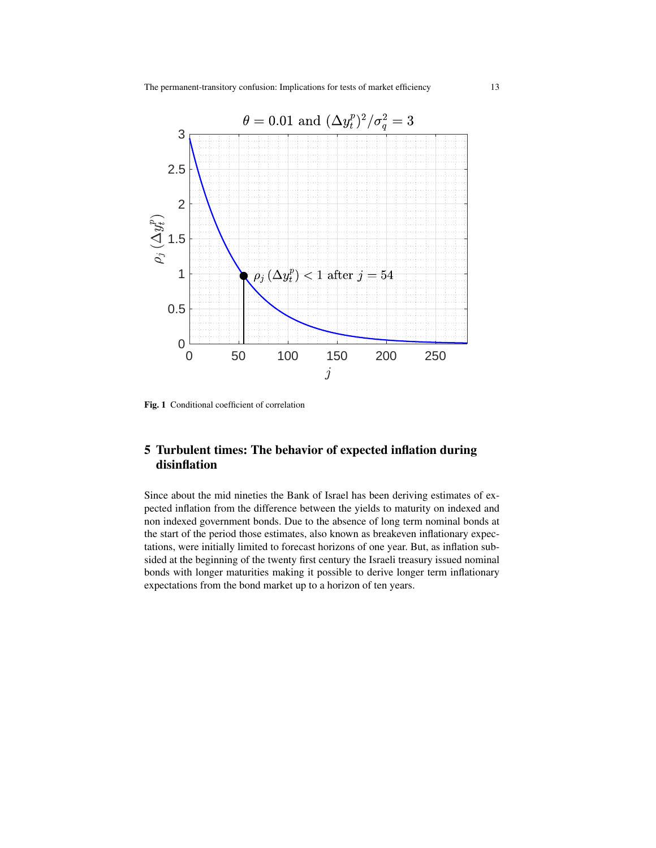

<span id="page-12-0"></span>Fig. 1 Conditional coefficient of correlation

# 5 Turbulent times: The behavior of expected inflation during disinflation

Since about the mid nineties the Bank of Israel has been deriving estimates of expected inflation from the difference between the yields to maturity on indexed and non indexed government bonds. Due to the absence of long term nominal bonds at the start of the period those estimates, also known as breakeven inflationary expectations, were initially limited to forecast horizons of one year. But, as inflation subsided at the beginning of the twenty first century the Israeli treasury issued nominal bonds with longer maturities making it possible to derive longer term inflationary expectations from the bond market up to a horizon of ten years.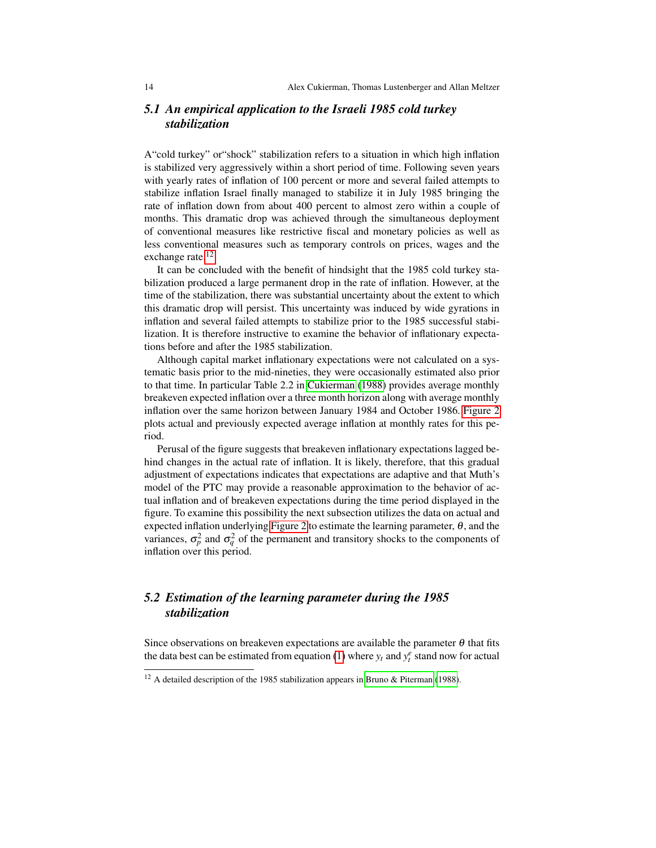### *5.1 An empirical application to the Israeli 1985 cold turkey stabilization*

A"cold turkey" or"shock" stabilization refers to a situation in which high inflation is stabilized very aggressively within a short period of time. Following seven years with yearly rates of inflation of 100 percent or more and several failed attempts to stabilize inflation Israel finally managed to stabilize it in July 1985 bringing the rate of inflation down from about 400 percent to almost zero within a couple of months. This dramatic drop was achieved through the simultaneous deployment of conventional measures like restrictive fiscal and monetary policies as well as less conventional measures such as temporary controls on prices, wages and the exchange rate.<sup>[12](#page-13-0)</sup>

It can be concluded with the benefit of hindsight that the 1985 cold turkey stabilization produced a large permanent drop in the rate of inflation. However, at the time of the stabilization, there was substantial uncertainty about the extent to which this dramatic drop will persist. This uncertainty was induced by wide gyrations in inflation and several failed attempts to stabilize prior to the 1985 successful stabilization. It is therefore instructive to examine the behavior of inflationary expectations before and after the 1985 stabilization.

Although capital market inflationary expectations were not calculated on a systematic basis prior to the mid-nineties, they were occasionally estimated also prior to that time. In particular Table 2.2 in [Cukierman](#page-20-5) [\(1988\)](#page-20-5) provides average monthly breakeven expected inflation over a three month horizon along with average monthly inflation over the same horizon between January 1984 and October 1986. [Figure 2](#page-14-0) plots actual and previously expected average inflation at monthly rates for this period.

Perusal of the figure suggests that breakeven inflationary expectations lagged behind changes in the actual rate of inflation. It is likely, therefore, that this gradual adjustment of expectations indicates that expectations are adaptive and that Muth's model of the PTC may provide a reasonable approximation to the behavior of actual inflation and of breakeven expectations during the time period displayed in the figure. To examine this possibility the next subsection utilizes the data on actual and expected inflation underlying [Figure 2](#page-14-0) to estimate the learning parameter,  $\theta$ , and the variances,  $\sigma_p^2$  and  $\sigma_q^2$  of the permanent and transitory shocks to the components of inflation over this period.

### *5.2 Estimation of the learning parameter during the 1985 stabilization*

Since observations on breakeven expectations are available the parameter  $\theta$  that fits the data best can be estimated from equation [\(1\)](#page-3-0) where  $y_t$  and  $y_t^e$  stand now for actual

<span id="page-13-0"></span><sup>&</sup>lt;sup>12</sup> A detailed description of the 1985 stabilization appears in [Bruno & Piterman](#page-20-6) [\(1988\)](#page-20-6).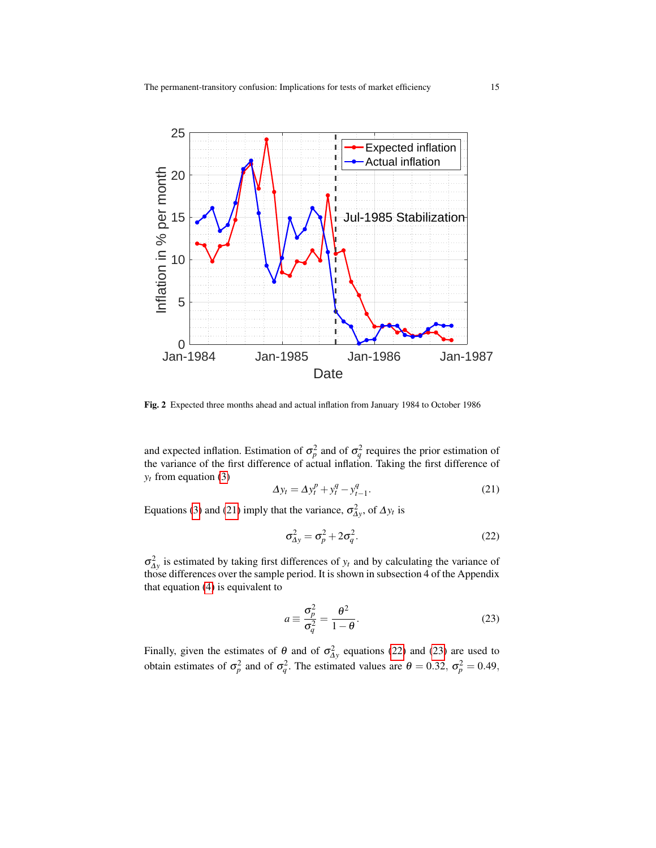

<span id="page-14-0"></span>Fig. 2 Expected three months ahead and actual inflation from January 1984 to October 1986

and expected inflation. Estimation of  $\sigma_p^2$  and of  $\sigma_q^2$  requires the prior estimation of the variance of the first difference of actual inflation. Taking the first difference of  $y_t$  from equation [\(3\)](#page-4-2)

<span id="page-14-1"></span>
$$
\Delta y_t = \Delta y_t^p + y_t^q - y_{t-1}^q. \tag{21}
$$

Equations [\(3\)](#page-4-2) and [\(21\)](#page-14-1) imply that the variance,  $\sigma_{\Delta y}^2$ , of  $\Delta y_t$  is

<span id="page-14-2"></span>
$$
\sigma_{\Delta y}^2 = \sigma_p^2 + 2\sigma_q^2. \tag{22}
$$

 $\sigma_{\Delta y}^2$  is estimated by taking first differences of  $y_t$  and by calculating the variance of those differences over the sample period. It is shown in subsection 4 of the Appendix that equation [\(4\)](#page-4-3) is equivalent to

<span id="page-14-3"></span>
$$
a \equiv \frac{\sigma_p^2}{\sigma_q^2} = \frac{\theta^2}{1 - \theta}.
$$
 (23)

Finally, given the estimates of  $\theta$  and of  $\sigma_{\Delta y}^2$  equations [\(22\)](#page-14-2) and [\(23\)](#page-14-3) are used to obtain estimates of  $\sigma_p^2$  and of  $\sigma_q^2$ . The estimated values are  $\theta = 0.32$ ,  $\sigma_p^2 = 0.49$ ,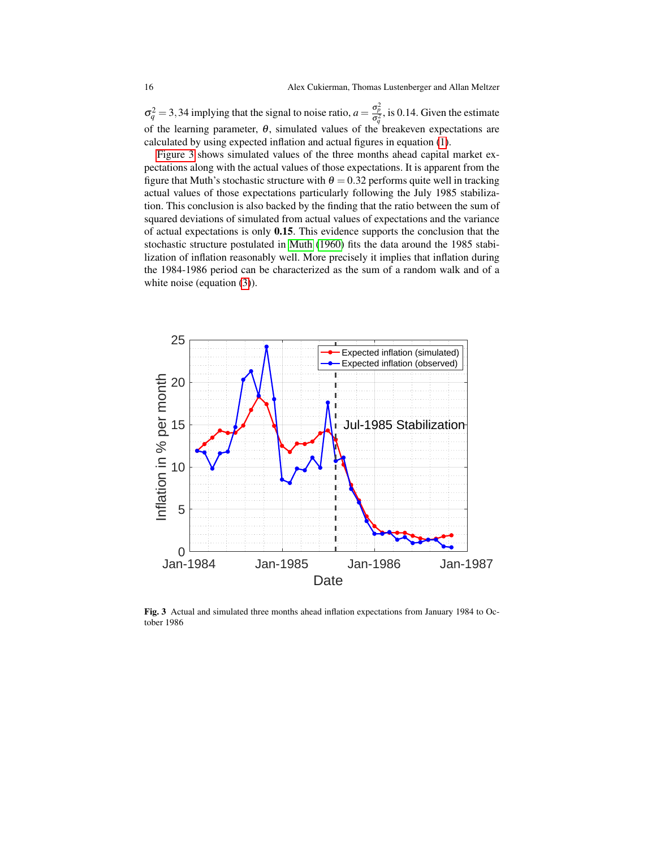$\sigma_q^2 = 3.34$  implying that the signal to noise ratio,  $a = \frac{\sigma_p^2}{\sigma_q^2}$ , is 0.14. Given the estimate of the learning parameter,  $\theta$ , simulated values of the breakeven expectations are calculated by using expected inflation and actual figures in equation [\(1\)](#page-3-0).

[Figure 3](#page-15-0) shows simulated values of the three months ahead capital market expectations along with the actual values of those expectations. It is apparent from the figure that Muth's stochastic structure with  $\theta = 0.32$  performs quite well in tracking actual values of those expectations particularly following the July 1985 stabilization. This conclusion is also backed by the finding that the ratio between the sum of squared deviations of simulated from actual values of expectations and the variance of actual expectations is only 0.15. This evidence supports the conclusion that the stochastic structure postulated in [Muth](#page-21-1) [\(1960\)](#page-21-1) fits the data around the 1985 stabilization of inflation reasonably well. More precisely it implies that inflation during the 1984-1986 period can be characterized as the sum of a random walk and of a white noise (equation [\(3\)](#page-4-2)).



<span id="page-15-0"></span>Fig. 3 Actual and simulated three months ahead inflation expectations from January 1984 to October 1986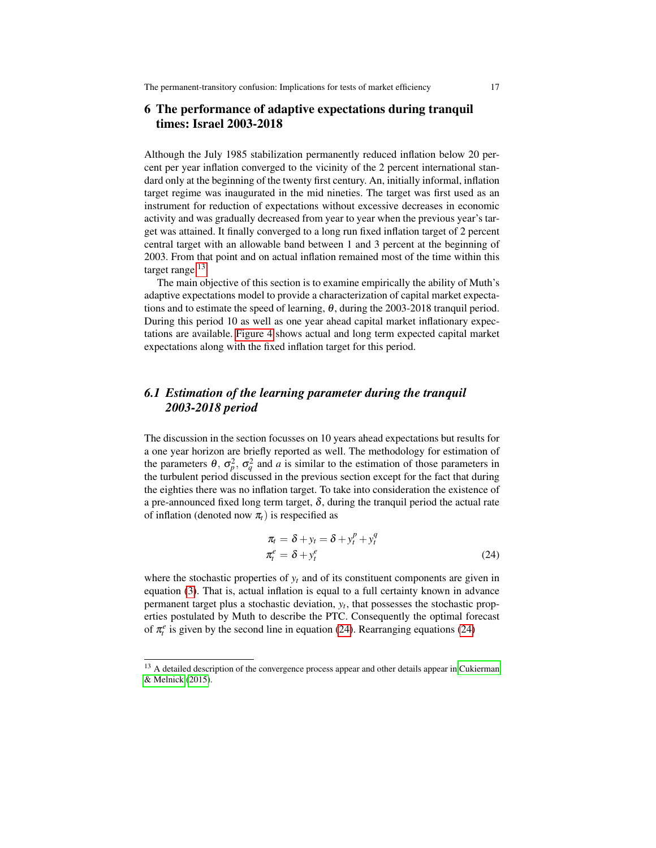### 6 The performance of adaptive expectations during tranquil times: Israel 2003-2018

Although the July 1985 stabilization permanently reduced inflation below 20 percent per year inflation converged to the vicinity of the 2 percent international standard only at the beginning of the twenty first century. An, initially informal, inflation target regime was inaugurated in the mid nineties. The target was first used as an instrument for reduction of expectations without excessive decreases in economic activity and was gradually decreased from year to year when the previous year's target was attained. It finally converged to a long run fixed inflation target of 2 percent central target with an allowable band between 1 and 3 percent at the beginning of 2003. From that point and on actual inflation remained most of the time within this target range.<sup>[13](#page-16-0)</sup>

The main objective of this section is to examine empirically the ability of Muth's adaptive expectations model to provide a characterization of capital market expectations and to estimate the speed of learning,  $\theta$ , during the 2003-2018 tranquil period. During this period 10 as well as one year ahead capital market inflationary expectations are available. [Figure 4](#page-17-0) shows actual and long term expected capital market expectations along with the fixed inflation target for this period.

### *6.1 Estimation of the learning parameter during the tranquil 2003-2018 period*

The discussion in the section focusses on 10 years ahead expectations but results for a one year horizon are briefly reported as well. The methodology for estimation of the parameters  $\theta$ ,  $\sigma_p^2$ ,  $\sigma_q^2$  and *a* is similar to the estimation of those parameters in the turbulent period discussed in the previous section except for the fact that during the eighties there was no inflation target. To take into consideration the existence of a pre-announced fixed long term target,  $\delta$ , during the tranquil period the actual rate of inflation (denoted now  $\pi$ ) is respecified as

<span id="page-16-1"></span>
$$
\pi_t = \delta + y_t = \delta + y_t^p + y_t^q
$$
  
\n
$$
\pi_t^e = \delta + y_t^e
$$
\n(24)

where the stochastic properties of  $y_t$  and of its constituent components are given in equation [\(3\)](#page-4-2). That is, actual inflation is equal to a full certainty known in advance permanent target plus a stochastic deviation, *y<sup>t</sup>* , that possesses the stochastic properties postulated by Muth to describe the PTC. Consequently the optimal forecast of  $\pi_i^e$  is given by the second line in equation [\(24\)](#page-16-1). Rearranging equations (24)

<span id="page-16-0"></span><sup>&</sup>lt;sup>13</sup> A detailed description of the convergence process appear and other details appear in [Cukierman](#page-20-7) [& Melnick](#page-20-7) [\(2015\)](#page-20-7).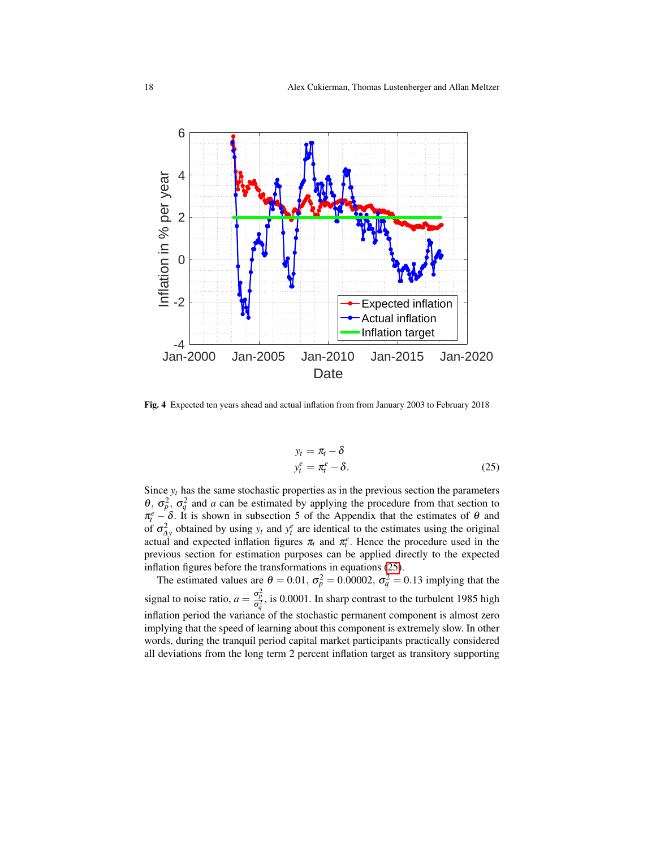

<span id="page-17-0"></span>Fig. 4 Expected ten years ahead and actual inflation from from January 2003 to February 2018

<span id="page-17-1"></span>
$$
y_t = \pi_t - \delta
$$
  

$$
y_t^e = \pi_t^e - \delta.
$$
 (25)

Since  $y_t$  has the same stochastic properties as in the previous section the parameters  $\theta$ ,  $\sigma_p^2$ ,  $\sigma_q^2$  and *a* can be estimated by applying the procedure from that section to  $\pi_i^e - \delta$ . It is shown in subsection 5 of the Appendix that the estimates of  $\theta$  and of  $\sigma_{\Delta y}^2$  obtained by using  $y_t$  and  $y_t^e$  are identical to the estimates using the original actual and expected inflation figures  $\pi_t$  and  $\pi_t^e$ . Hence the procedure used in the previous section for estimation purposes can be applied directly to the expected inflation figures before the transformations in equations [\(25\)](#page-17-1).

The estimated values are  $\theta = 0.01$ ,  $\sigma_p^2 = 0.00002$ ,  $\sigma_q^2 = 0.13$  implying that the signal to noise ratio,  $a = \frac{\sigma_p^2}{\sigma_q^2}$ , is 0.0001. In sharp contrast to the turbulent 1985 high inflation period the variance of the stochastic permanent component is almost zero implying that the speed of learning about this component is extremely slow. In other words, during the tranquil period capital market participants practically considered all deviations from the long term 2 percent inflation target as transitory supporting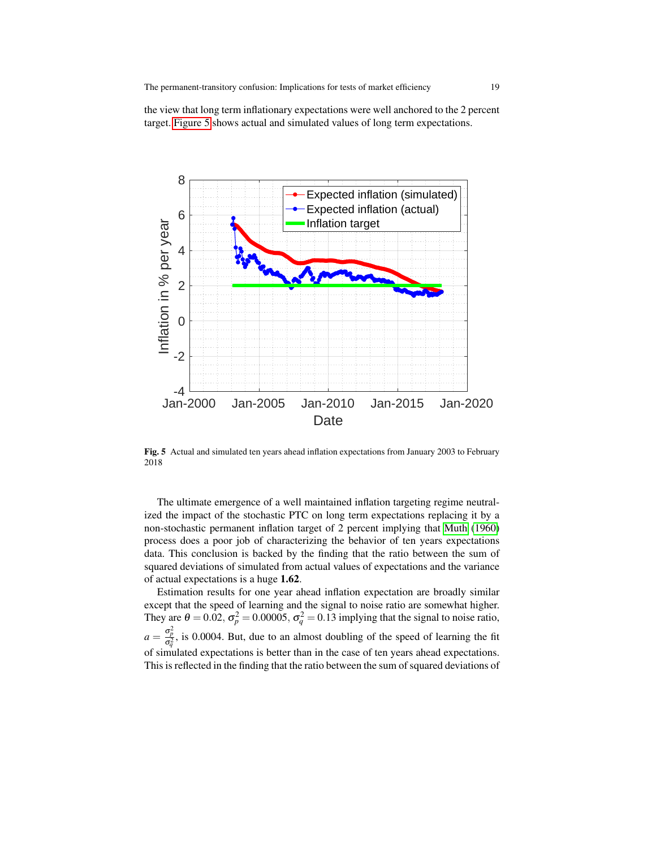the view that long term inflationary expectations were well anchored to the 2 percent target. [Figure 5](#page-18-0) shows actual and simulated values of long term expectations.



<span id="page-18-0"></span>Fig. 5 Actual and simulated ten years ahead inflation expectations from January 2003 to February 2018

The ultimate emergence of a well maintained inflation targeting regime neutralized the impact of the stochastic PTC on long term expectations replacing it by a non-stochastic permanent inflation target of 2 percent implying that [Muth](#page-21-1) [\(1960\)](#page-21-1) process does a poor job of characterizing the behavior of ten years expectations data. This conclusion is backed by the finding that the ratio between the sum of squared deviations of simulated from actual values of expectations and the variance of actual expectations is a huge 1.62.

Estimation results for one year ahead inflation expectation are broadly similar except that the speed of learning and the signal to noise ratio are somewhat higher. They are  $\theta = 0.02$ ,  $\sigma_p^2 = 0.00005$ ,  $\sigma_q^2 = 0.13$  implying that the signal to noise ratio,  $a = \frac{\sigma_p^2}{\sigma_q^2}$ , is 0.0004. But, due to an almost doubling of the speed of learning the fit of simulated expectations is better than in the case of ten years ahead expectations. This is reflected in the finding that the ratio between the sum of squared deviations of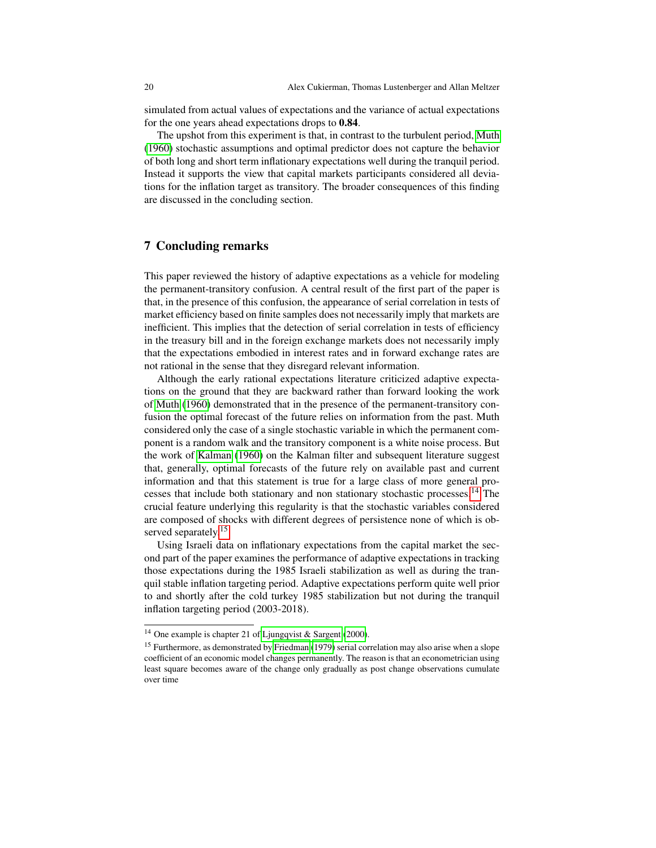simulated from actual values of expectations and the variance of actual expectations for the one years ahead expectations drops to 0.84.

The upshot from this experiment is that, in contrast to the turbulent period, [Muth](#page-21-1) [\(1960\)](#page-21-1) stochastic assumptions and optimal predictor does not capture the behavior of both long and short term inflationary expectations well during the tranquil period. Instead it supports the view that capital markets participants considered all deviations for the inflation target as transitory. The broader consequences of this finding are discussed in the concluding section.

#### 7 Concluding remarks

This paper reviewed the history of adaptive expectations as a vehicle for modeling the permanent-transitory confusion. A central result of the first part of the paper is that, in the presence of this confusion, the appearance of serial correlation in tests of market efficiency based on finite samples does not necessarily imply that markets are inefficient. This implies that the detection of serial correlation in tests of efficiency in the treasury bill and in the foreign exchange markets does not necessarily imply that the expectations embodied in interest rates and in forward exchange rates are not rational in the sense that they disregard relevant information.

Although the early rational expectations literature criticized adaptive expectations on the ground that they are backward rather than forward looking the work of [Muth](#page-21-1) [\(1960\)](#page-21-1) demonstrated that in the presence of the permanent-transitory confusion the optimal forecast of the future relies on information from the past. Muth considered only the case of a single stochastic variable in which the permanent component is a random walk and the transitory component is a white noise process. But the work of [Kalman](#page-21-6) [\(1960\)](#page-21-6) on the Kalman filter and subsequent literature suggest that, generally, optimal forecasts of the future rely on available past and current information and that this statement is true for a large class of more general processes that include both stationary and non stationary stochastic processes.[14](#page-19-0) The crucial feature underlying this regularity is that the stochastic variables considered are composed of shocks with different degrees of persistence none of which is ob-served separately.<sup>[15](#page-19-1)</sup>

Using Israeli data on inflationary expectations from the capital market the second part of the paper examines the performance of adaptive expectations in tracking those expectations during the 1985 Israeli stabilization as well as during the tranquil stable inflation targeting period. Adaptive expectations perform quite well prior to and shortly after the cold turkey 1985 stabilization but not during the tranquil inflation targeting period (2003-2018).

<span id="page-19-0"></span><sup>14</sup> One example is chapter 21 of [Ljungqvist & Sargent](#page-21-18) [\(2000\)](#page-21-18).

<span id="page-19-1"></span><sup>&</sup>lt;sup>15</sup> Furthermore, as demonstrated by [Friedman](#page-21-19) [\(1979\)](#page-21-19) serial correlation may also arise when a slope coefficient of an economic model changes permanently. The reason is that an econometrician using least square becomes aware of the change only gradually as post change observations cumulate over time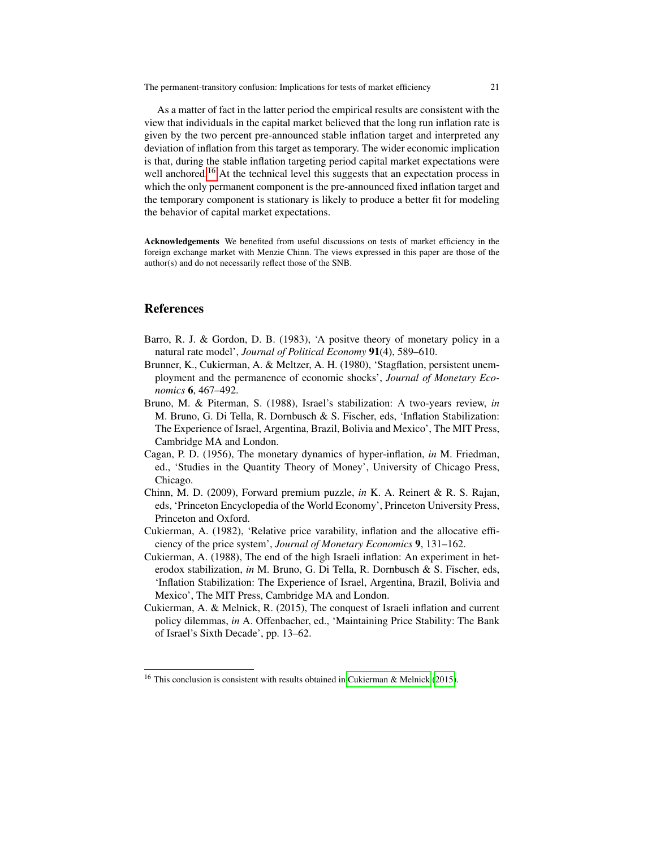As a matter of fact in the latter period the empirical results are consistent with the view that individuals in the capital market believed that the long run inflation rate is given by the two percent pre-announced stable inflation target and interpreted any deviation of inflation from this target as temporary. The wider economic implication is that, during the stable inflation targeting period capital market expectations were well anchored.<sup>[16](#page-20-8)</sup> At the technical level this suggests that an expectation process in which the only permanent component is the pre-announced fixed inflation target and the temporary component is stationary is likely to produce a better fit for modeling the behavior of capital market expectations.

Acknowledgements We benefited from useful discussions on tests of market efficiency in the foreign exchange market with Menzie Chinn. The views expressed in this paper are those of the author(s) and do not necessarily reflect those of the SNB.

#### References

- <span id="page-20-1"></span>Barro, R. J. & Gordon, D. B. (1983), 'A positve theory of monetary policy in a natural rate model', *Journal of Political Economy* 91(4), 589–610.
- <span id="page-20-2"></span>Brunner, K., Cukierman, A. & Meltzer, A. H. (1980), 'Stagflation, persistent unemployment and the permanence of economic shocks', *Journal of Monetary Economics* 6, 467–492.
- <span id="page-20-6"></span>Bruno, M. & Piterman, S. (1988), Israel's stabilization: A two-years review, *in* M. Bruno, G. Di Tella, R. Dornbusch & S. Fischer, eds, 'Inflation Stabilization: The Experience of Israel, Argentina, Brazil, Bolivia and Mexico', The MIT Press, Cambridge MA and London.
- <span id="page-20-0"></span>Cagan, P. D. (1956), The monetary dynamics of hyper-inflation, *in* M. Friedman, ed., 'Studies in the Quantity Theory of Money', University of Chicago Press, Chicago.
- <span id="page-20-4"></span>Chinn, M. D. (2009), Forward premium puzzle, *in* K. A. Reinert & R. S. Rajan, eds, 'Princeton Encyclopedia of the World Economy', Princeton University Press, Princeton and Oxford.
- <span id="page-20-3"></span>Cukierman, A. (1982), 'Relative price varability, inflation and the allocative efficiency of the price system', *Journal of Monetary Economics* 9, 131–162.
- <span id="page-20-5"></span>Cukierman, A. (1988), The end of the high Israeli inflation: An experiment in heterodox stabilization, *in* M. Bruno, G. Di Tella, R. Dornbusch & S. Fischer, eds, 'Inflation Stabilization: The Experience of Israel, Argentina, Brazil, Bolivia and Mexico', The MIT Press, Cambridge MA and London.
- <span id="page-20-7"></span>Cukierman, A. & Melnick, R. (2015), The conquest of Israeli inflation and current policy dilemmas, *in* A. Offenbacher, ed., 'Maintaining Price Stability: The Bank of Israel's Sixth Decade', pp. 13–62.

<span id="page-20-8"></span><sup>&</sup>lt;sup>16</sup> This conclusion is consistent with results obtained in [Cukierman & Melnick](#page-20-7) [\(2015\)](#page-20-7).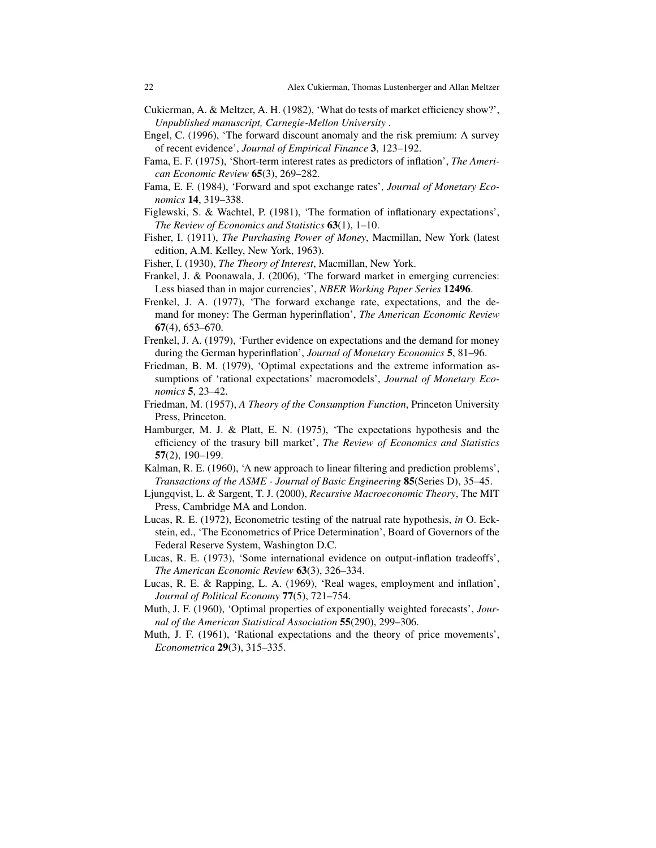- <span id="page-21-0"></span>Cukierman, A. & Meltzer, A. H. (1982), 'What do tests of market efficiency show?', *Unpublished manuscript, Carnegie-Mellon University* .
- <span id="page-21-16"></span>Engel, C. (1996), 'The forward discount anomaly and the risk premium: A survey of recent evidence', *Journal of Empirical Finance* 3, 123–192.
- <span id="page-21-9"></span>Fama, E. F. (1975), 'Short-term interest rates as predictors of inflation', *The American Economic Review* 65(3), 269–282.
- <span id="page-21-15"></span>Fama, E. F. (1984), 'Forward and spot exchange rates', *Journal of Monetary Economics* 14, 319–338.
- <span id="page-21-13"></span>Figlewski, S. & Wachtel, P. (1981), 'The formation of inflationary expectations', *The Review of Economics and Statistics* 63(1), 1–10.
- <span id="page-21-2"></span>Fisher, I. (1911), *The Purchasing Power of Money*, Macmillan, New York (latest edition, A.M. Kelley, New York, 1963).
- <span id="page-21-14"></span>Fisher, I. (1930), *The Theory of Interest*, Macmillan, New York.
- <span id="page-21-17"></span>Frankel, J. & Poonawala, J. (2006), 'The forward market in emerging currencies: Less biased than in major currencies', *NBER Working Paper Series* 12496.
- <span id="page-21-11"></span>Frenkel, J. A. (1977), 'The forward exchange rate, expectations, and the demand for money: The German hyperinflation', *The American Economic Review* 67(4), 653–670.
- <span id="page-21-12"></span>Frenkel, J. A. (1979), 'Further evidence on expectations and the demand for money during the German hyperinflation', *Journal of Monetary Economics* 5, 81–96.
- <span id="page-21-19"></span>Friedman, B. M. (1979), 'Optimal expectations and the extreme information assumptions of 'rational expectations' macromodels', *Journal of Monetary Economics* 5, 23–42.
- <span id="page-21-3"></span>Friedman, M. (1957), *A Theory of the Consumption Function*, Princeton University Press, Princeton.
- <span id="page-21-10"></span>Hamburger, M. J. & Platt, E. N. (1975), 'The expectations hypothesis and the efficiency of the trasury bill market', *The Review of Economics and Statistics* 57(2), 190–199.
- <span id="page-21-6"></span>Kalman, R. E. (1960), 'A new approach to linear filtering and prediction problems', *Transactions of the ASME - Journal of Basic Engineering* 85(Series D), 35–45.
- <span id="page-21-18"></span>Ljungqvist, L. & Sargent, T. J. (2000), *Recursive Macroeconomic Theory*, The MIT Press, Cambridge MA and London.
- <span id="page-21-4"></span>Lucas, R. E. (1972), Econometric testing of the natrual rate hypothesis, *in* O. Eckstein, ed., 'The Econometrics of Price Determination', Board of Governors of the Federal Reserve System, Washington D.C.
- <span id="page-21-8"></span>Lucas, R. E. (1973), 'Some international evidence on output-inflation tradeoffs', *The American Economic Review* 63(3), 326–334.
- <span id="page-21-7"></span>Lucas, R. E. & Rapping, L. A. (1969), 'Real wages, employment and inflation', *Journal of Political Economy* 77(5), 721–754.
- <span id="page-21-1"></span>Muth, J. F. (1960), 'Optimal properties of exponentially weighted forecasts', *Journal of the American Statistical Association* 55(290), 299–306.
- <span id="page-21-5"></span>Muth, J. F. (1961), 'Rational expectations and the theory of price movements', *Econometrica* 29(3), 315–335.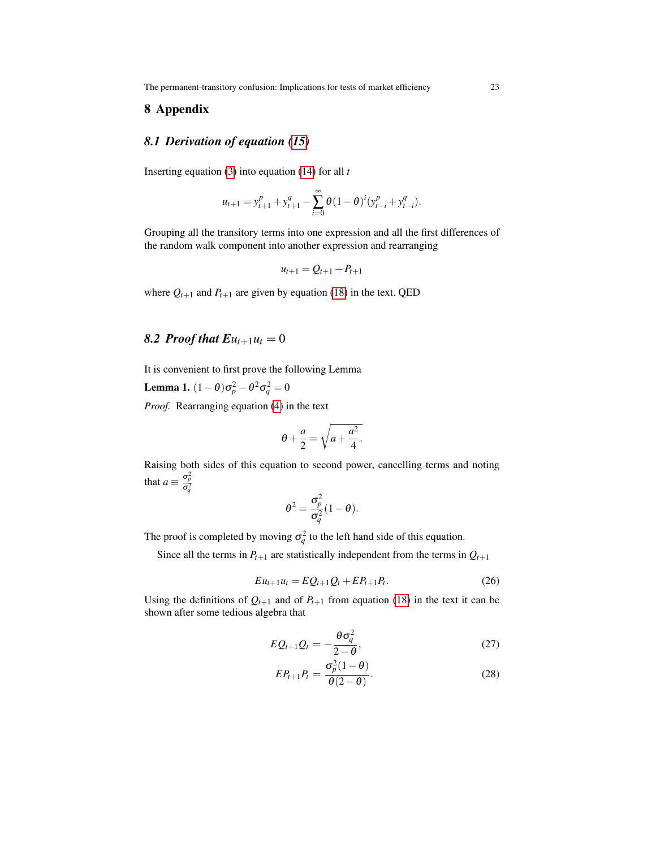The permanent-transitory confusion: Implications for tests of market efficiency 23

#### 8 Appendix

#### *8.1 Derivation of equation [\(15\)](#page-9-2)*

Inserting equation [\(3\)](#page-4-2) into equation [\(14\)](#page-9-4) for all *t*

$$
u_{t+1} = y_{t+1}^p + y_{t+1}^q - \sum_{i=0}^{\infty} \theta (1 - \theta)^i (y_{t-i}^p + y_{t-i}^q).
$$

Grouping all the transitory terms into one expression and all the first differences of the random walk component into another expression and rearranging

$$
u_{t+1} = Q_{t+1} + P_{t+1}
$$

where  $Q_{t+1}$  and  $P_{t+1}$  are given by equation [\(18\)](#page-10-1) in the text. QED

### 8.2 *Proof that*  $E u_{t+1} u_t = 0$

It is convenient to first prove the following Lemma

Lemma 1.  $(1 - θ)σ<sub>p</sub><sup>2</sup> - θ<sup>2</sup>σ<sub>q</sub><sup>2</sup> = 0$ 

*Proof.* Rearranging equation [\(4\)](#page-4-3) in the text

$$
\theta + \frac{a}{2} = \sqrt{a + \frac{a^2}{4}}.
$$

Raising both sides of this equation to second power, cancelling terms and noting that  $a \equiv \frac{\sigma_p^2}{\sigma_q^2}$ 

$$
\theta^2 = \frac{\sigma_p^2}{\sigma_q^2} (1 - \theta).
$$

The proof is completed by moving  $\sigma_q^2$  to the left hand side of this equation.

<span id="page-22-0"></span>Since all the terms in  $P_{t+1}$  are statistically independent from the terms in  $Q_{t+1}$ 

$$
Eu_{t+1}u_t = EQ_{t+1}Q_t + EP_{t+1}P_t.
$$
\n(26)

Using the definitions of  $Q_{t+1}$  and of  $P_{t+1}$  from equation [\(18\)](#page-10-1) in the text it can be shown after some tedious algebra that

<span id="page-22-1"></span>
$$
EQ_{t+1}Q_t = -\frac{\theta \sigma_q^2}{2-\theta},\tag{27}
$$

$$
EP_{t+1}P_t = \frac{\sigma_p^2(1-\theta)}{\theta(2-\theta)}.
$$
\n(28)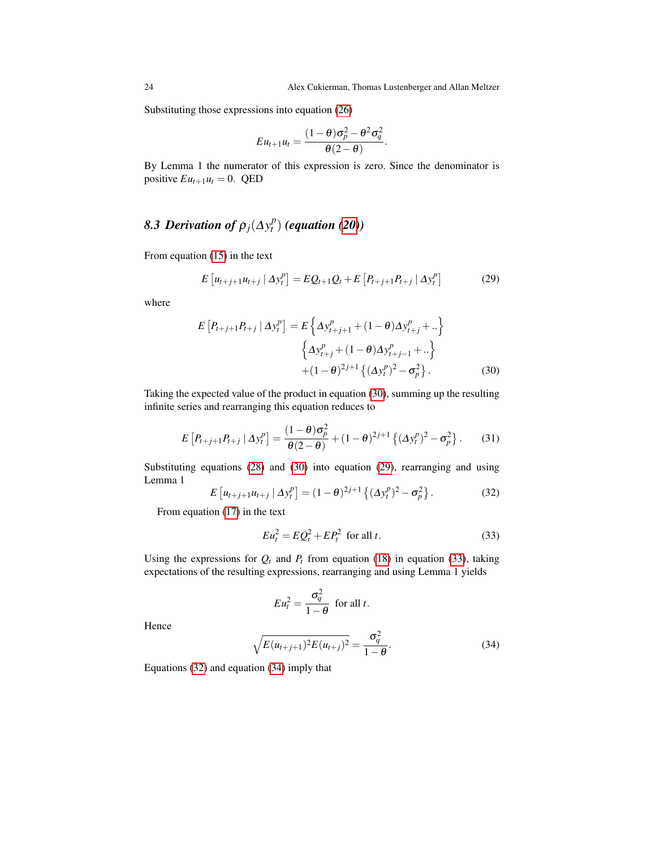Substituting those expressions into equation [\(26\)](#page-22-0)

$$
E u_{t+1} u_t = \frac{(1-\theta)\sigma_p^2 - \theta^2 \sigma_q^2}{\theta(2-\theta)}.
$$

By Lemma 1 the numerator of this expression is zero. Since the denominator is positive  $Eu_{t+1}u_t = 0$ . QED

#### 8.3 Derivation of  $\rho_j(\Delta y_t^p)$ *t* ) *(equation [\(20\)](#page-10-2))*

From equation [\(15\)](#page-9-2) in the text

<span id="page-23-1"></span>
$$
E\left[u_{t+j+1}u_{t+j} | \Delta y_t^p\right] = EQ_{t+1}Q_t + E\left[P_{t+j+1}P_{t+j} | \Delta y_t^p\right]
$$
(29)

where

<span id="page-23-0"></span>
$$
E[P_{t+j+1}P_{t+j} | \Delta y_t^p] = E\left\{\Delta y_{t+j+1}^p + (1-\theta)\Delta y_{t+j}^p + \ldots\right\}
$$

$$
\left\{\Delta y_{t+j}^p + (1-\theta)\Delta y_{t+j-1}^p + \ldots\right\}
$$

$$
+ (1-\theta)^{2j+1}\left\{(\Delta y_t^p)^2 - \sigma_p^2\right\}.
$$
(30)

Taking the expected value of the product in equation [\(30\)](#page-23-0), summing up the resulting infinite series and rearranging this equation reduces to

$$
E\left[P_{t+j+1}P_{t+j} | \Delta y_t^p\right] = \frac{(1-\theta)\sigma_p^2}{\theta(2-\theta)} + (1-\theta)^{2j+1} \left\{ (\Delta y_t^p)^2 - \sigma_p^2 \right\}.
$$
 (31)

Substituting equations [\(28\)](#page-22-1) and [\(30\)](#page-23-0) into equation [\(29\)](#page-23-1), rearranging and using Lemma 1

<span id="page-23-3"></span>
$$
E\left[u_{t+j+1}u_{t+j} | \Delta y_t^p\right] = (1-\theta)^{2j+1} \left\{ (\Delta y_t^p)^2 - \sigma_p^2 \right\}.
$$
 (32)

From equation [\(17\)](#page-10-3) in the text

<span id="page-23-2"></span>
$$
Eu_t^2 = EQ_t^2 + EP_t^2 \text{ for all } t. \tag{33}
$$

Using the expressions for  $Q_t$  and  $P_t$  from equation [\(18\)](#page-10-1) in equation [\(33\)](#page-23-2), taking expectations of the resulting expressions, rearranging and using Lemma 1 yields

$$
Eu_t^2 = \frac{\sigma_q^2}{1-\theta} \text{ for all } t.
$$

<span id="page-23-4"></span>Hence

$$
\sqrt{E(u_{t+j+1})^2 E(u_{t+j})^2} = \frac{\sigma_q^2}{1-\theta}.
$$
\n(34)

Equations [\(32\)](#page-23-3) and equation [\(34\)](#page-23-4) imply that